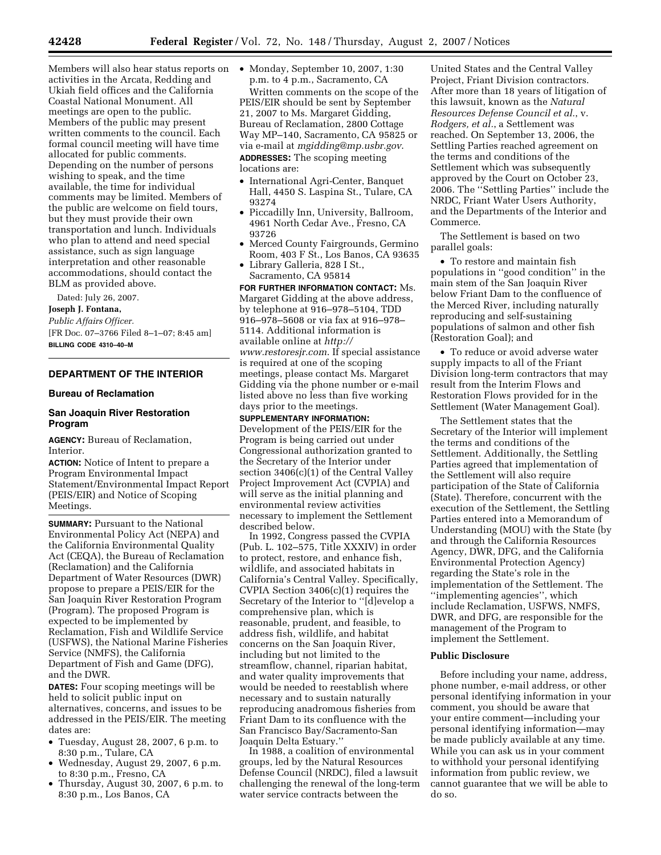Members will also hear status reports on • Monday, September 10, 2007, 1:30 activities in the Arcata, Redding and Ukiah field offices and the California Coastal National Monument. All meetings are open to the public. Members of the public may present written comments to the council. Each formal council meeting will have time allocated for public comments. Depending on the number of persons wishing to speak, and the time available, the time for individual comments may be limited. Members of the public are welcome on field tours, but they must provide their own transportation and lunch. Individuals who plan to attend and need special assistance, such as sign language interpretation and other reasonable accommodations, should contact the BLM as provided above.

Dated: July 26, 2007.

#### **Joseph J. Fontana,**

*Public Affairs Officer.*  [FR Doc. 07–3766 Filed 8–1–07; 8:45 am] **BILLING CODE 4310–40–M** 

# **DEPARTMENT OF THE INTERIOR**

#### **Bureau of Reclamation**

## **San Joaquin River Restoration Program**

**AGENCY:** Bureau of Reclamation, Interior.

**ACTION:** Notice of Intent to prepare a Program Environmental Impact Statement/Environmental Impact Report (PEIS/EIR) and Notice of Scoping Meetings.

**SUMMARY: Pursuant to the National** Environmental Policy Act (NEPA) and the California Environmental Quality Act (CEQA), the Bureau of Reclamation (Reclamation) and the California Department of Water Resources (DWR) propose to prepare a PEIS/EIR for the San Joaquin River Restoration Program (Program). The proposed Program is expected to be implemented by Reclamation, Fish and Wildlife Service (USFWS), the National Marine Fisheries Service (NMFS), the California Department of Fish and Game (DFG), and the DWR.

**DATES:** Four scoping meetings will be held to solicit public input on alternatives, concerns, and issues to be addressed in the PEIS/EIR. The meeting dates are:

- Tuesday, August 28, 2007, 6 p.m. to 8:30 p.m., Tulare, CA
- Wednesday, August 29, 2007, 6 p.m. to 8:30 p.m., Fresno, CA
- Thursday, August 30, 2007, 6 p.m. to 8:30 p.m., Los Banos, CA

p.m. to 4 p.m., Sacramento, CA

Written comments on the scope of the PEIS/EIR should be sent by September 21, 2007 to Ms. Margaret Gidding, Bureau of Reclamation, 2800 Cottage Way MP–140, Sacramento, CA 95825 or via e-mail at *mgidding@mp.usbr.gov*. **ADDRESSES:** The scoping meeting locations are:

- International Agri-Center, Banquet Hall, 4450 S. Laspina St., Tulare, CA 93274
- Piccadilly Inn, University, Ballroom, 4961 North Cedar Ave., Fresno, CA 93726
- Merced County Fairgrounds, Germino Room, 403 F St., Los Banos, CA 93635
- Library Galleria, 828 I St., Sacramento, CA 95814

**FOR FURTHER INFORMATION CONTACT:** Ms. Margaret Gidding at the above address, by telephone at 916–978–5104, TDD 916–978–5608 or via fax at 916–978– 5114. Additional information is available online at *http:// www.restoresjr.com*. If special assistance is required at one of the scoping meetings, please contact Ms. Margaret Gidding via the phone number or e-mail listed above no less than five working days prior to the meetings.

**SUPPLEMENTARY INFORMATION:**  Development of the PEIS/EIR for the Program is being carried out under Congressional authorization granted to the Secretary of the Interior under section 3406(c)(1) of the Central Valley Project Improvement Act (CVPIA) and will serve as the initial planning and environmental review activities necessary to implement the Settlement described below.

In 1992, Congress passed the CVPIA (Pub. L. 102–575, Title XXXIV) in order to protect, restore, and enhance fish, wildlife, and associated habitats in California's Central Valley. Specifically, CVPIA Section 3406(c)(1) requires the Secretary of the Interior to ''[d]evelop a comprehensive plan, which is reasonable, prudent, and feasible, to address fish, wildlife, and habitat concerns on the San Joaquin River, including but not limited to the streamflow, channel, riparian habitat, and water quality improvements that would be needed to reestablish where necessary and to sustain naturally reproducing anadromous fisheries from Friant Dam to its confluence with the San Francisco Bay/Sacramento-San Joaquin Delta Estuary.''

In 1988, a coalition of environmental groups, led by the Natural Resources Defense Council (NRDC), filed a lawsuit challenging the renewal of the long-term water service contracts between the

United States and the Central Valley Project, Friant Division contractors. After more than 18 years of litigation of this lawsuit, known as the *Natural Resources Defense Council et al.*, v. *Rodgers, et al.*, a Settlement was reached. On September 13, 2006, the Settling Parties reached agreement on the terms and conditions of the Settlement which was subsequently approved by the Court on October 23, 2006. The ''Settling Parties'' include the NRDC, Friant Water Users Authority, and the Departments of the Interior and Commerce.

The Settlement is based on two parallel goals:

• To restore and maintain fish populations in ''good condition'' in the main stem of the San Joaquin River below Friant Dam to the confluence of the Merced River, including naturally reproducing and self-sustaining populations of salmon and other fish (Restoration Goal); and

• To reduce or avoid adverse water supply impacts to all of the Friant Division long-term contractors that may result from the Interim Flows and Restoration Flows provided for in the Settlement (Water Management Goal).

The Settlement states that the Secretary of the Interior will implement the terms and conditions of the Settlement. Additionally, the Settling Parties agreed that implementation of the Settlement will also require participation of the State of California (State). Therefore, concurrent with the execution of the Settlement, the Settling Parties entered into a Memorandum of Understanding (MOU) with the State (by and through the California Resources Agency, DWR, DFG, and the California Environmental Protection Agency) regarding the State's role in the implementation of the Settlement. The ''implementing agencies'', which include Reclamation, USFWS, NMFS, DWR, and DFG, are responsible for the management of the Program to implement the Settlement.

## **Public Disclosure**

Before including your name, address, phone number, e-mail address, or other personal identifying information in your comment, you should be aware that your entire comment—including your personal identifying information—may be made publicly available at any time. While you can ask us in your comment to withhold your personal identifying information from public review, we cannot guarantee that we will be able to do so.